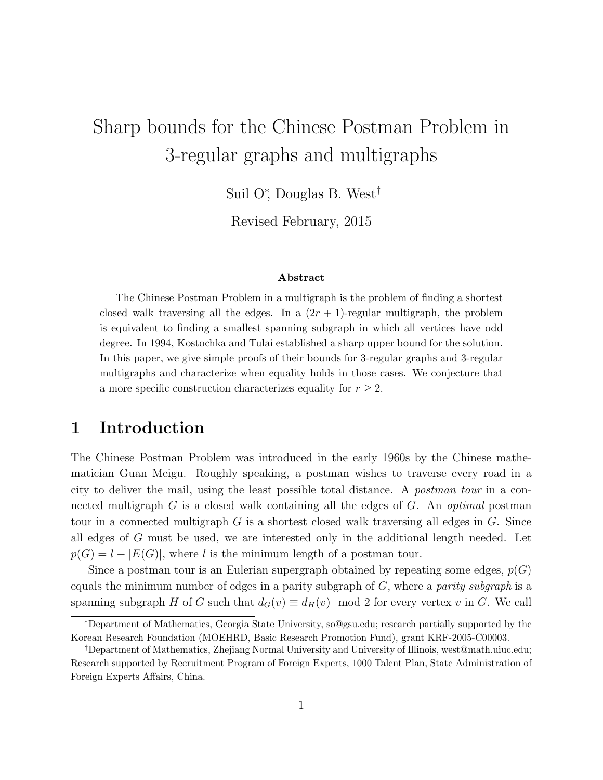# Sharp bounds for the Chinese Postman Problem in 3-regular graphs and multigraphs

Suil O<sup>∗</sup> , Douglas B. West†

Revised February, 2015

#### Abstract

The Chinese Postman Problem in a multigraph is the problem of finding a shortest closed walk traversing all the edges. In a  $(2r + 1)$ -regular multigraph, the problem is equivalent to finding a smallest spanning subgraph in which all vertices have odd degree. In 1994, Kostochka and Tulai established a sharp upper bound for the solution. In this paper, we give simple proofs of their bounds for 3-regular graphs and 3-regular multigraphs and characterize when equality holds in those cases. We conjecture that a more specific construction characterizes equality for  $r \geq 2$ .

### 1 Introduction

The Chinese Postman Problem was introduced in the early 1960s by the Chinese mathematician Guan Meigu. Roughly speaking, a postman wishes to traverse every road in a city to deliver the mail, using the least possible total distance. A postman tour in a connected multigraph  $G$  is a closed walk containing all the edges of  $G$ . An *optimal* postman tour in a connected multigraph  $G$  is a shortest closed walk traversing all edges in  $G$ . Since all edges of G must be used, we are interested only in the additional length needed. Let  $p(G) = l - |E(G)|$ , where l is the minimum length of a postman tour.

Since a postman tour is an Eulerian supergraph obtained by repeating some edges,  $p(G)$ equals the minimum number of edges in a parity subgraph of  $G$ , where a *parity subgraph* is a spanning subgraph H of G such that  $d_G(v) \equiv d_H(v) \mod 2$  for every vertex v in G. We call

<sup>∗</sup>Department of Mathematics, Georgia State University, so@gsu.edu; research partially supported by the Korean Research Foundation (MOEHRD, Basic Research Promotion Fund), grant KRF-2005-C00003.

<sup>†</sup>Department of Mathematics, Zhejiang Normal University and University of Illinois, west@math.uiuc.edu; Research supported by Recruitment Program of Foreign Experts, 1000 Talent Plan, State Administration of Foreign Experts Affairs, China.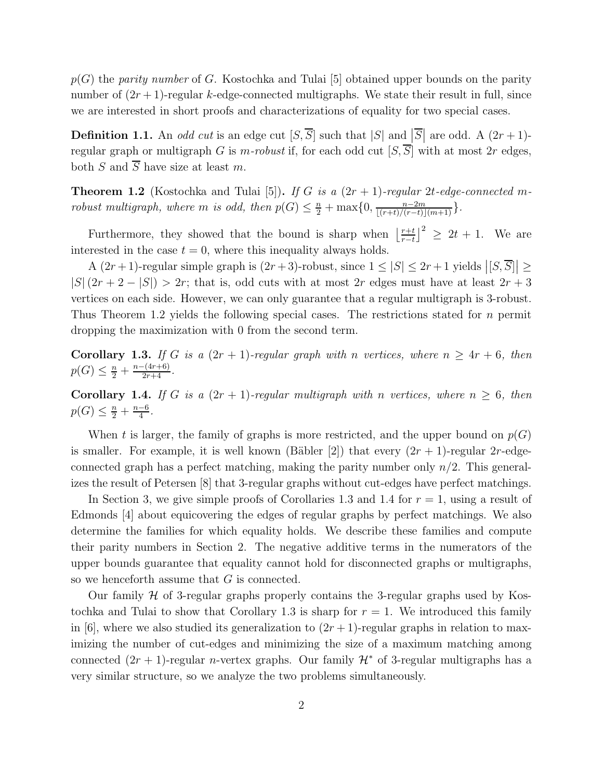$p(G)$  the parity number of G. Kostochka and Tulai [5] obtained upper bounds on the parity number of  $(2r + 1)$ -regular k-edge-connected multigraphs. We state their result in full, since we are interested in short proofs and characterizations of equality for two special cases.

**Definition 1.1.** An *odd cut* is an edge cut  $[S, \overline{S}]$  such that  $|S|$  and  $|\overline{S}|$  are odd. A  $(2r + 1)$ regular graph or multigraph G is m-robust if, for each odd cut  $[S, \overline{S}]$  with at most 2r edges, both S and  $\overline{S}$  have size at least m.

**Theorem 1.2** (Kostochka and Tulai [5]). If G is a  $(2r + 1)$ -regular 2t-edge-connected mrobust multigraph, where m is odd, then  $p(G) \leq \frac{n}{2} + \max\{0, \frac{n-2m}{\lfloor (r+t)/(r-t) \rfloor(m+1)}\}.$ 

Furthermore, they showed that the bound is sharp when  $\left| \frac{r+t}{r-t} \right|$  $\left[\frac{r+t}{r-t}\right]^2 \geq 2t+1$ . We are interested in the case  $t = 0$ , where this inequality always holds.

A  $(2r+1)$ -regular simple graph is  $(2r+3)$ -robust, since  $1 \leq |S| \leq 2r+1$  yields  $|[S,\overline{S}]| \geq$  $|S|(2r+2-|S|) > 2r$ ; that is, odd cuts with at most 2r edges must have at least  $2r+3$ vertices on each side. However, we can only guarantee that a regular multigraph is 3-robust. Thus Theorem 1.2 yields the following special cases. The restrictions stated for n permit dropping the maximization with 0 from the second term.

Corollary 1.3. If G is a  $(2r + 1)$ -regular graph with n vertices, where  $n \geq 4r + 6$ , then  $p(G) \leq \frac{n}{2} + \frac{n-(4r+6)}{2r+4}.$ 

Corollary 1.4. If G is a  $(2r + 1)$ -regular multigraph with n vertices, where  $n \geq 6$ , then  $p(G) \leq \frac{n}{2} + \frac{n-6}{4}$  $\frac{-6}{4}$ .

When t is larger, the family of graphs is more restricted, and the upper bound on  $p(G)$ is smaller. For example, it is well known (Bäbler [2]) that every  $(2r + 1)$ -regular  $2r$ -edgeconnected graph has a perfect matching, making the parity number only  $n/2$ . This generalizes the result of Petersen [8] that 3-regular graphs without cut-edges have perfect matchings.

In Section 3, we give simple proofs of Corollaries 1.3 and 1.4 for  $r = 1$ , using a result of Edmonds [4] about equicovering the edges of regular graphs by perfect matchings. We also determine the families for which equality holds. We describe these families and compute their parity numbers in Section 2. The negative additive terms in the numerators of the upper bounds guarantee that equality cannot hold for disconnected graphs or multigraphs, so we henceforth assume that G is connected.

Our family  $H$  of 3-regular graphs properly contains the 3-regular graphs used by Kostochka and Tulai to show that Corollary 1.3 is sharp for  $r = 1$ . We introduced this family in [6], where we also studied its generalization to  $(2r + 1)$ -regular graphs in relation to maximizing the number of cut-edges and minimizing the size of a maximum matching among connected  $(2r + 1)$ -regular *n*-vertex graphs. Our family  $\mathcal{H}^*$  of 3-regular multigraphs has a very similar structure, so we analyze the two problems simultaneously.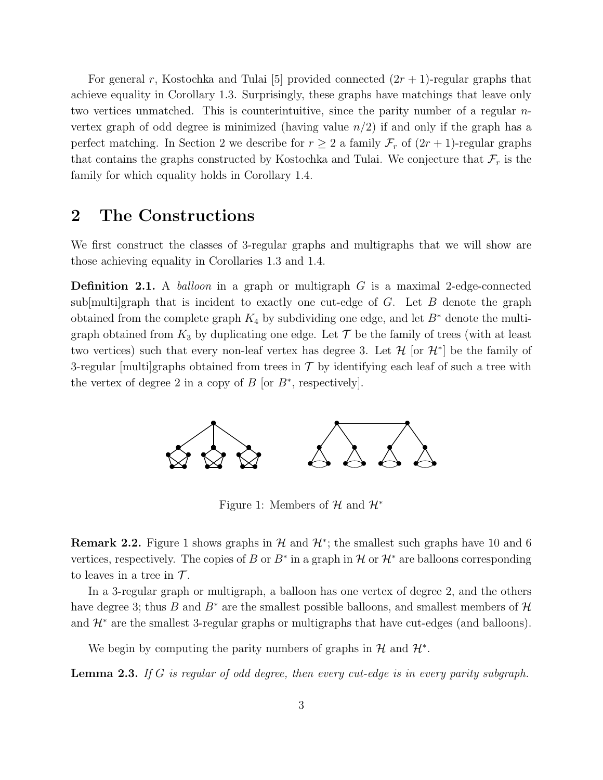For general r, Kostochka and Tulai [5] provided connected  $(2r + 1)$ -regular graphs that achieve equality in Corollary 1.3. Surprisingly, these graphs have matchings that leave only two vertices unmatched. This is counterintuitive, since the parity number of a regular nvertex graph of odd degree is minimized (having value  $n/2$ ) if and only if the graph has a perfect matching. In Section 2 we describe for  $r \geq 2$  a family  $\mathcal{F}_r$  of  $(2r + 1)$ -regular graphs that contains the graphs constructed by Kostochka and Tulai. We conjecture that  $\mathcal{F}_r$  is the family for which equality holds in Corollary 1.4.

#### 2 The Constructions

We first construct the classes of 3-regular graphs and multigraphs that we will show are those achieving equality in Corollaries 1.3 and 1.4.

**Definition 2.1.** A *balloon* in a graph or multigraph  $G$  is a maximal 2-edge-connected sub[multi]graph that is incident to exactly one cut-edge of  $G$ . Let  $B$  denote the graph obtained from the complete graph  $K_4$  by subdividing one edge, and let  $B^*$  denote the multigraph obtained from  $K_3$  by duplicating one edge. Let  $\mathcal T$  be the family of trees (with at least two vertices) such that every non-leaf vertex has degree 3. Let  $\mathcal{H}$  [or  $\mathcal{H}^*$ ] be the family of 3-regular  $[multi]$ graphs obtained from trees in  $\mathcal T$  by identifying each leaf of such a tree with the vertex of degree 2 in a copy of  $B$  [or  $B^*$ , respectively].



Figure 1: Members of  $\mathcal H$  and  $\mathcal H^*$ 

**Remark 2.2.** Figure 1 shows graphs in  $\mathcal{H}$  and  $\mathcal{H}^*$ ; the smallest such graphs have 10 and 6 vertices, respectively. The copies of B or  $B^*$  in a graph in H or  $\mathcal{H}^*$  are balloons corresponding to leaves in a tree in  $\mathcal T$ .

In a 3-regular graph or multigraph, a balloon has one vertex of degree 2, and the others have degree 3; thus B and  $B^*$  are the smallest possible balloons, and smallest members of H and  $\mathcal{H}^*$  are the smallest 3-regular graphs or multigraphs that have cut-edges (and balloons).

We begin by computing the parity numbers of graphs in  $\mathcal H$  and  $\mathcal H^*$ .

**Lemma 2.3.** If G is regular of odd degree, then every cut-edge is in every parity subgraph.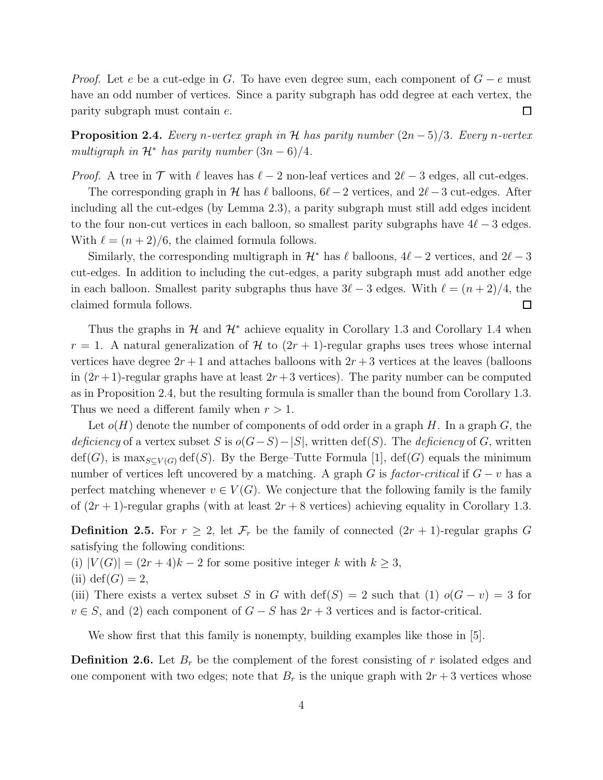*Proof.* Let e be a cut-edge in G. To have even degree sum, each component of  $G - e$  must have an odd number of vertices. Since a parity subgraph has odd degree at each vertex, the  $\Box$ parity subgraph must contain e.

**Proposition 2.4.** Every n-vertex graph in H has parity number  $(2n-5)/3$ . Every n-vertex multigraph in  $\mathcal{H}^*$  has parity number  $(3n-6)/4$ .

*Proof.* A tree in  $\mathcal T$  with  $\ell$  leaves has  $\ell-2$  non-leaf vertices and  $2\ell-3$  edges, all cut-edges.

The corresponding graph in H has  $\ell$  balloons,  $6\ell-2$  vertices, and  $2\ell-3$  cut-edges. After including all the cut-edges (by Lemma 2.3), a parity subgraph must still add edges incident to the four non-cut vertices in each balloon, so smallest parity subgraphs have  $4\ell - 3$  edges. With  $\ell = (n+2)/6$ , the claimed formula follows.

Similarly, the corresponding multigraph in  $\mathcal{H}^*$  has  $\ell$  balloons,  $4\ell-2$  vertices, and  $2\ell-3$ cut-edges. In addition to including the cut-edges, a parity subgraph must add another edge in each balloon. Smallest parity subgraphs thus have  $3\ell - 3$  edges. With  $\ell = (n+2)/4$ , the claimed formula follows.  $\Box$ 

Thus the graphs in  $\mathcal{H}$  and  $\mathcal{H}^*$  achieve equality in Corollary 1.3 and Corollary 1.4 when  $r = 1$ . A natural generalization of H to  $(2r + 1)$ -regular graphs uses trees whose internal vertices have degree  $2r + 1$  and attaches balloons with  $2r + 3$  vertices at the leaves (balloons in  $(2r+1)$ -regular graphs have at least  $2r+3$  vertices). The parity number can be computed as in Proposition 2.4, but the resulting formula is smaller than the bound from Corollary 1.3. Thus we need a different family when  $r > 1$ .

Let  $o(H)$  denote the number of components of odd order in a graph H. In a graph G, the deficiency of a vertex subset S is  $o(G-S)-|S|$ , written def(S). The deficiency of G, written  $\text{def}(G)$ , is max $_{S\subset V(G)}$  def(S). By the Berge–Tutte Formula [1], def(G) equals the minimum number of vertices left uncovered by a matching. A graph G is factor-critical if  $G - v$  has a perfect matching whenever  $v \in V(G)$ . We conjecture that the following family is the family of  $(2r + 1)$ -regular graphs (with at least  $2r + 8$  vertices) achieving equality in Corollary 1.3.

**Definition 2.5.** For  $r \geq 2$ , let  $\mathcal{F}_r$  be the family of connected  $(2r + 1)$ -regular graphs G satisfying the following conditions:

(i)  $|V(G)| = (2r+4)k-2$  for some positive integer k with  $k \geq 3$ ,

(ii) 
$$
def(G) = 2
$$
,

(iii) There exists a vertex subset S in G with  $\text{def}(S) = 2$  such that (1)  $o(G - v) = 3$  for  $v \in S$ , and (2) each component of  $G - S$  has  $2r + 3$  vertices and is factor-critical.

We show first that this family is nonempty, building examples like those in [5].

**Definition 2.6.** Let  $B_r$  be the complement of the forest consisting of r isolated edges and one component with two edges; note that  $B_r$  is the unique graph with  $2r + 3$  vertices whose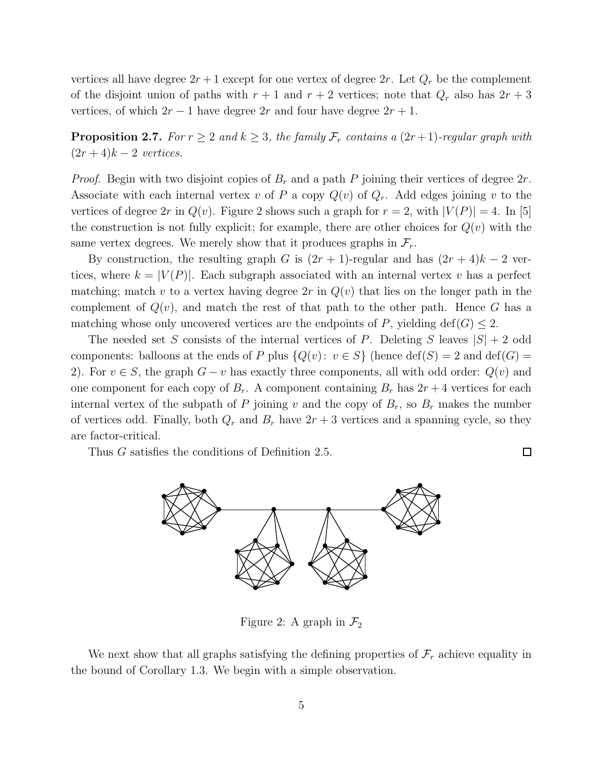vertices all have degree  $2r + 1$  except for one vertex of degree  $2r$ . Let  $Q_r$  be the complement of the disjoint union of paths with  $r + 1$  and  $r + 2$  vertices; note that  $Q_r$  also has  $2r + 3$ vertices, of which  $2r - 1$  have degree  $2r$  and four have degree  $2r + 1$ .

**Proposition 2.7.** For  $r \geq 2$  and  $k \geq 3$ , the family  $\mathcal{F}_r$  contains a  $(2r+1)$ -regular graph with  $(2r+4)k-2$  vertices.

*Proof.* Begin with two disjoint copies of  $B_r$  and a path P joining their vertices of degree  $2r$ . Associate with each internal vertex v of P a copy  $Q(v)$  of  $Q_r$ . Add edges joining v to the vertices of degree 2r in  $Q(v)$ . Figure 2 shows such a graph for  $r = 2$ , with  $|V(P)| = 4$ . In [5] the construction is not fully explicit; for example, there are other choices for  $Q(v)$  with the same vertex degrees. We merely show that it produces graphs in  $\mathcal{F}_r$ .

By construction, the resulting graph G is  $(2r + 1)$ -regular and has  $(2r + 4)k - 2$  vertices, where  $k = |V(P)|$ . Each subgraph associated with an internal vertex v has a perfect matching; match v to a vertex having degree  $2r$  in  $Q(v)$  that lies on the longer path in the complement of  $Q(v)$ , and match the rest of that path to the other path. Hence G has a matching whose only uncovered vertices are the endpoints of P, yielding  $\text{def}(G) \leq 2$ .

The needed set S consists of the internal vertices of P. Deleting S leaves  $|S| + 2$  odd components: balloons at the ends of P plus  $\{Q(v): v \in S\}$  (hence  $\text{def}(S) = 2$  and  $\text{def}(G) =$ 2). For  $v \in S$ , the graph  $G - v$  has exactly three components, all with odd order:  $Q(v)$  and one component for each copy of  $B_r$ . A component containing  $B_r$  has  $2r + 4$  vertices for each internal vertex of the subpath of P joining v and the copy of  $B_r$ , so  $B_r$  makes the number of vertices odd. Finally, both  $Q_r$  and  $B_r$  have  $2r + 3$  vertices and a spanning cycle, so they are factor-critical.

 $\Box$ 

Thus G satisfies the conditions of Definition 2.5.



Figure 2: A graph in  $\mathcal{F}_2$ 

We next show that all graphs satisfying the defining properties of  $\mathcal{F}_r$  achieve equality in the bound of Corollary 1.3. We begin with a simple observation.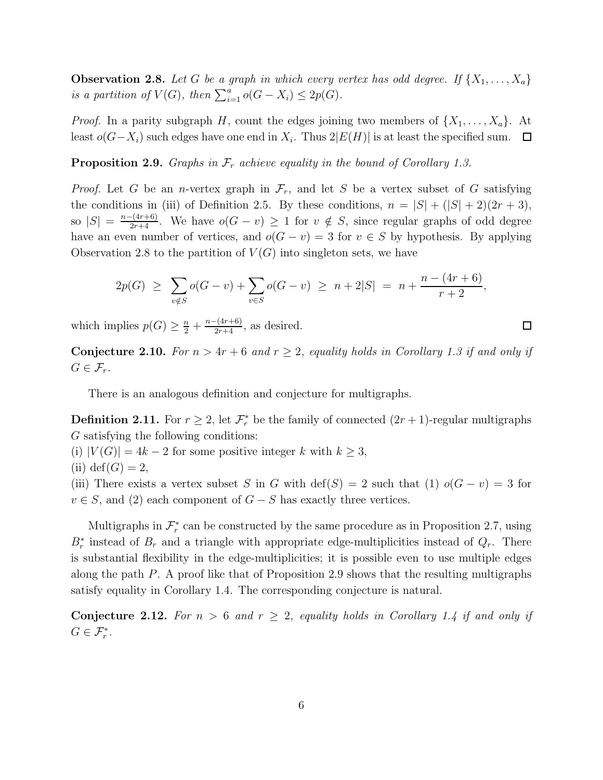**Observation 2.8.** Let G be a graph in which every vertex has odd degree. If  $\{X_1, \ldots, X_a\}$ is a partition of  $V(G)$ , then  $\sum_{i=1}^{a} o(G - X_i) \leq 2p(G)$ .

*Proof.* In a parity subgraph H, count the edges joining two members of  $\{X_1, \ldots, X_a\}$ . At least  $o(G-X_i)$  such edges have one end in  $X_i$ . Thus  $2|E(H)|$  is at least the specified sum.

**Proposition 2.9.** Graphs in  $\mathcal{F}_r$  achieve equality in the bound of Corollary 1.3.

*Proof.* Let G be an *n*-vertex graph in  $\mathcal{F}_r$ , and let S be a vertex subset of G satisfying the conditions in (iii) of Definition 2.5. By these conditions,  $n = |S| + (|S| + 2)(2r + 3)$ , so  $|S| = \frac{n-(4r+6)}{2r+4}$ . We have  $o(G - v) \ge 1$  for  $v \notin S$ , since regular graphs of odd degree have an even number of vertices, and  $o(G - v) = 3$  for  $v \in S$  by hypothesis. By applying Observation 2.8 to the partition of  $V(G)$  into singleton sets, we have

$$
2p(G) \geq \sum_{v \notin S} o(G - v) + \sum_{v \in S} o(G - v) \geq n + 2|S| = n + \frac{n - (4r + 6)}{r + 2},
$$

which implies  $p(G) \geq \frac{n}{2} + \frac{n-(4r+6)}{2r+4}$ , as desired.

**Conjecture 2.10.** For  $n > 4r + 6$  and  $r \geq 2$ , equality holds in Corollary 1.3 if and only if  $G \in \mathcal{F}_r$ .

 $\Box$ 

There is an analogous definition and conjecture for multigraphs.

**Definition 2.11.** For  $r \geq 2$ , let  $\mathcal{F}_{r}^{*}$  be the family of connected  $(2r + 1)$ -regular multigraphs G satisfying the following conditions:

(i)  $|V(G)| = 4k - 2$  for some positive integer k with  $k \geq 3$ ,

(ii) 
$$
def(G) = 2
$$
,

(iii) There exists a vertex subset S in G with  $\text{def}(S) = 2$  such that (1)  $o(G - v) = 3$  for  $v \in S$ , and (2) each component of  $G - S$  has exactly three vertices.

Multigraphs in  $\mathcal{F}_{r}^{*}$  can be constructed by the same procedure as in Proposition 2.7, using  $B_r^*$  instead of  $B_r$  and a triangle with appropriate edge-multiplicities instead of  $Q_r$ . There is substantial flexibility in the edge-multiplicities; it is possible even to use multiple edges along the path P. A proof like that of Proposition 2.9 shows that the resulting multigraphs satisfy equality in Corollary 1.4. The corresponding conjecture is natural.

**Conjecture 2.12.** For  $n > 6$  and  $r \geq 2$ , equality holds in Corollary 1.4 if and only if  $G \in \mathcal{F}_{r}^{*}.$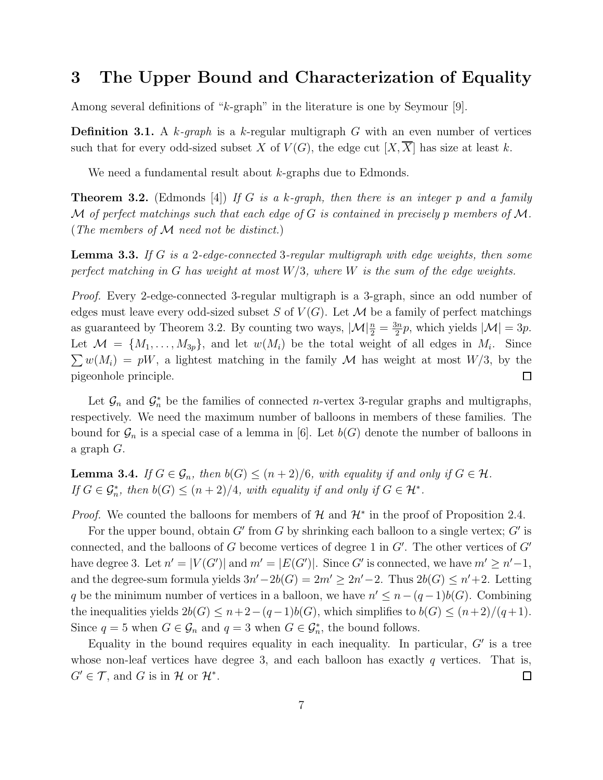### 3 The Upper Bound and Characterization of Equality

Among several definitions of "k-graph" in the literature is one by Seymour [9].

**Definition 3.1.** A k-graph is a k-regular multigraph G with an even number of vertices such that for every odd-sized subset X of  $V(G)$ , the edge cut  $[X,\overline{X}]$  has size at least k.

We need a fundamental result about k-graphs due to Edmonds.

**Theorem 3.2.** (Edmonds [4]) If G is a k-graph, then there is an integer p and a family M of perfect matchings such that each edge of G is contained in precisely p members of M. (The members of M need not be distinct.)

**Lemma 3.3.** If G is a 2-edge-connected 3-regular multigraph with edge weights, then some perfect matching in G has weight at most  $W/3$ , where W is the sum of the edge weights.

Proof. Every 2-edge-connected 3-regular multigraph is a 3-graph, since an odd number of edges must leave every odd-sized subset S of  $V(G)$ . Let M be a family of perfect matchings as guaranteed by Theorem 3.2. By counting two ways,  $|\mathcal{M}| \frac{n}{2} = \frac{3n}{2}$  $\frac{3n}{2}p$ , which yields  $|\mathcal{M}| = 3p$ . Let  $\mathcal{M} = \{M_1, \ldots, M_{3p}\}\$ , and let  $w(M_i)$  be the total weight of all edges in  $M_i$ . Since  $\sum w(M_i) = pW$ , a lightest matching in the family M has weight at most  $W/3$ , by the pigeonhole principle.  $\Box$ 

Let  $\mathcal{G}_n$  and  $\mathcal{G}_n^*$  be the families of connected *n*-vertex 3-regular graphs and multigraphs, respectively. We need the maximum number of balloons in members of these families. The bound for  $\mathcal{G}_n$  is a special case of a lemma in [6]. Let  $b(G)$  denote the number of balloons in a graph G.

**Lemma 3.4.** If  $G \in \mathcal{G}_n$ , then  $b(G) \leq (n+2)/6$ , with equality if and only if  $G \in \mathcal{H}$ . If  $G \in \mathcal{G}_n^*$ , then  $b(G) \le (n+2)/4$ , with equality if and only if  $G \in \mathcal{H}^*$ .

*Proof.* We counted the balloons for members of  $H$  and  $H^*$  in the proof of Proposition 2.4.

For the upper bound, obtain  $G'$  from  $G$  by shrinking each balloon to a single vertex;  $G'$  is connected, and the balloons of  $G$  become vertices of degree 1 in  $G'$ . The other vertices of  $G'$ have degree 3. Let  $n' = |V(G')|$  and  $m' = |E(G')|$ . Since G' is connected, we have  $m' \geq n'-1$ , and the degree-sum formula yields  $3n' - 2b(G) = 2m' \ge 2n' - 2$ . Thus  $2b(G) \le n' + 2$ . Letting q be the minimum number of vertices in a balloon, we have  $n' \leq n - (q-1)b(G)$ . Combining the inequalities yields  $2b(G) \leq n+2-(q-1)b(G)$ , which simplifies to  $b(G) \leq (n+2)/(q+1)$ . Since  $q = 5$  when  $G \in \mathcal{G}_n$  and  $q = 3$  when  $G \in \mathcal{G}_n^*$ , the bound follows.

Equality in the bound requires equality in each inequality. In particular,  $G'$  is a tree whose non-leaf vertices have degree 3, and each balloon has exactly  $q$  vertices. That is,  $G' \in \mathcal{T}$ , and G is in H or  $\mathcal{H}^*$ .  $\Box$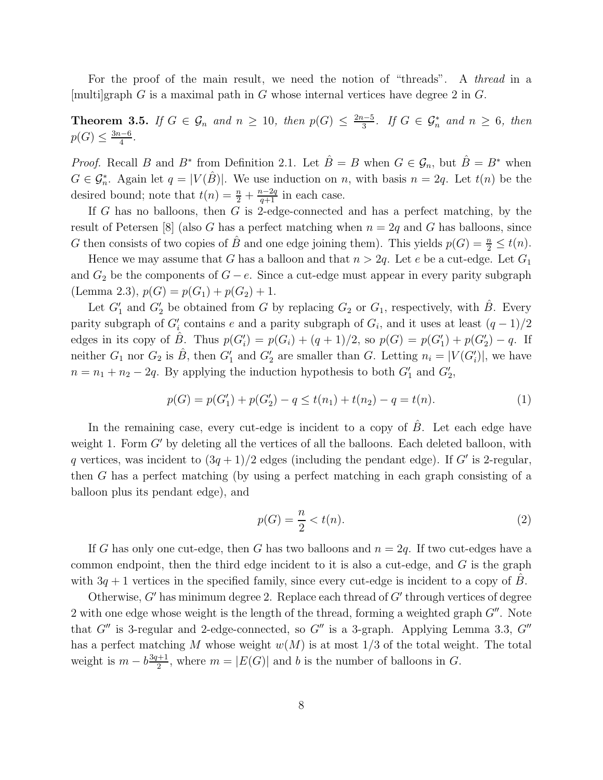For the proof of the main result, we need the notion of "threads". A thread in a [multi]graph G is a maximal path in G whose internal vertices have degree 2 in G.

**Theorem 3.5.** If  $G \in \mathcal{G}_n$  and  $n \geq 10$ , then  $p(G) \leq \frac{2n-5}{3}$  $\frac{n-5}{3}$ . If  $G \in \mathcal{G}_n^*$  and  $n \geq 6$ , then  $p(G) \leq \frac{3n-6}{4}$  $\frac{a-6}{4}$ .

*Proof.* Recall B and B<sup>\*</sup> from Definition 2.1. Let  $\hat{B} = B$  when  $G \in \mathcal{G}_n$ , but  $\hat{B} = B^*$  when  $G \in \mathcal{G}_n^*$ . Again let  $q = |V(\hat{B})|$ . We use induction on n, with basis  $n = 2q$ . Let  $t(n)$  be the desired bound; note that  $t(n) = \frac{n}{2} + \frac{n-2q}{q+1}$  in each case.

If G has no balloons, then  $G$  is 2-edge-connected and has a perfect matching, by the result of Petersen [8] (also G has a perfect matching when  $n = 2q$  and G has balloons, since G then consists of two copies of  $\hat{B}$  and one edge joining them). This yields  $p(G) = \frac{n}{2} \le t(n)$ .

Hence we may assume that G has a balloon and that  $n > 2q$ . Let e be a cut-edge. Let  $G_1$ and  $G_2$  be the components of  $G - e$ . Since a cut-edge must appear in every parity subgraph (Lemma 2.3),  $p(G) = p(G_1) + p(G_2) + 1$ .

Let  $G'_{1}$  and  $G'_{2}$  be obtained from G by replacing  $G_{2}$  or  $G_{1}$ , respectively, with  $\hat{B}$ . Every parity subgraph of  $G'_{i}$  contains e and a parity subgraph of  $G_{i}$ , and it uses at least  $(q-1)/2$ edges in its copy of  $\hat{B}$ . Thus  $p(G'_i) = p(G_i) + (q+1)/2$ , so  $p(G) = p(G'_1) + p(G'_2) - q$ . If neither  $G_1$  nor  $G_2$  is  $\hat{B}$ , then  $G'_1$  and  $G'_2$  are smaller than G. Letting  $n_i = |V(G'_i)|$ , we have  $n = n_1 + n_2 - 2q$ . By applying the induction hypothesis to both  $G'_1$  and  $G'_2$ ,

$$
p(G) = p(G'_1) + p(G'_2) - q \le t(n_1) + t(n_2) - q = t(n).
$$
\n(1)

In the remaining case, every cut-edge is incident to a copy of  $\ddot{B}$ . Let each edge have weight 1. Form  $G'$  by deleting all the vertices of all the balloons. Each deleted balloon, with q vertices, was incident to  $(3q+1)/2$  edges (including the pendant edge). If G' is 2-regular, then G has a perfect matching (by using a perfect matching in each graph consisting of a balloon plus its pendant edge), and

$$
p(G) = \frac{n}{2} < t(n). \tag{2}
$$

If G has only one cut-edge, then G has two balloons and  $n = 2q$ . If two cut-edges have a common endpoint, then the third edge incident to it is also a cut-edge, and  $G$  is the graph with  $3q + 1$  vertices in the specified family, since every cut-edge is incident to a copy of B.

Otherwise,  $G'$  has minimum degree 2. Replace each thread of  $G'$  through vertices of degree 2 with one edge whose weight is the length of the thread, forming a weighted graph  $G''$ . Note that  $G''$  is 3-regular and 2-edge-connected, so  $G''$  is a 3-graph. Applying Lemma 3.3,  $G''$ has a perfect matching M whose weight  $w(M)$  is at most 1/3 of the total weight. The total weight is  $m - b \frac{3q+1}{2}$  $\frac{d+1}{2}$ , where  $m = |E(G)|$  and b is the number of balloons in G.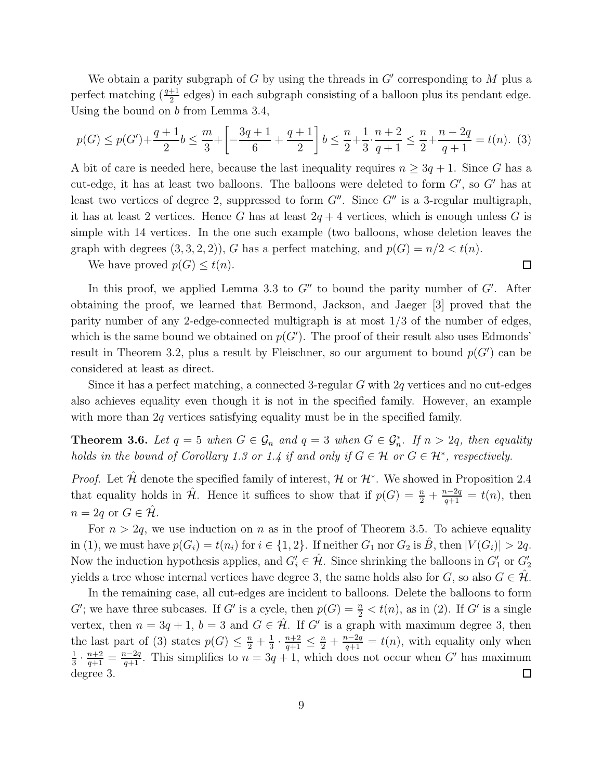We obtain a parity subgraph of  $G$  by using the threads in  $G'$  corresponding to  $M$  plus a perfect matching  $\left(\frac{q+1}{2}\right)$  edges) in each subgraph consisting of a balloon plus its pendant edge. Using the bound on b from Lemma 3.4,

$$
p(G) \le p(G') + \frac{q+1}{2}b \le \frac{m}{3} + \left[ -\frac{3q+1}{6} + \frac{q+1}{2} \right] b \le \frac{n}{2} + \frac{1}{3} \cdot \frac{n+2}{q+1} \le \frac{n}{2} + \frac{n-2q}{q+1} = t(n). \tag{3}
$$

A bit of care is needed here, because the last inequality requires  $n \geq 3q + 1$ . Since G has a cut-edge, it has at least two balloons. The balloons were deleted to form  $G'$ , so  $G'$  has at least two vertices of degree 2, suppressed to form  $G''$ . Since  $G''$  is a 3-regular multigraph, it has at least 2 vertices. Hence G has at least  $2q + 4$  vertices, which is enough unless G is simple with 14 vertices. In the one such example (two balloons, whose deletion leaves the graph with degrees  $(3, 3, 2, 2)$ , G has a perfect matching, and  $p(G) = n/2 < t(n)$ .

 $\Box$ 

We have proved  $p(G) \leq t(n)$ .

In this proof, we applied Lemma 3.3 to  $G''$  to bound the parity number of  $G'$ . After obtaining the proof, we learned that Bermond, Jackson, and Jaeger [3] proved that the parity number of any 2-edge-connected multigraph is at most  $1/3$  of the number of edges, which is the same bound we obtained on  $p(G')$ . The proof of their result also uses Edmonds' result in Theorem 3.2, plus a result by Fleischner, so our argument to bound  $p(G')$  can be considered at least as direct.

Since it has a perfect matching, a connected 3-regular  $G$  with  $2q$  vertices and no cut-edges also achieves equality even though it is not in the specified family. However, an example with more than 2q vertices satisfying equality must be in the specified family.

**Theorem 3.6.** Let  $q = 5$  when  $G \in \mathcal{G}_n$  and  $q = 3$  when  $G \in \mathcal{G}_n^*$ . If  $n > 2q$ , then equality holds in the bound of Corollary 1.3 or 1.4 if and only if  $G \in \mathcal{H}$  or  $G \in \mathcal{H}^*$ , respectively.

*Proof.* Let  $\hat{\mathcal{H}}$  denote the specified family of interest,  $\mathcal{H}$  or  $\mathcal{H}^*$ . We showed in Proposition 2.4 that equality holds in  $\hat{\mathcal{H}}$ . Hence it suffices to show that if  $p(G) = \frac{n}{2} + \frac{n-2q}{q+1} = t(n)$ , then  $n = 2q$  or  $G \in \mathcal{H}$ .

For  $n > 2q$ , we use induction on n as in the proof of Theorem 3.5. To achieve equality in (1), we must have  $p(G_i) = t(n_i)$  for  $i \in \{1, 2\}$ . If neither  $G_1$  nor  $G_2$  is  $\hat{B}$ , then  $|V(G_i)| > 2q$ . Now the induction hypothesis applies, and  $G'_i \in \hat{\mathcal{H}}$ . Since shrinking the balloons in  $G'_1$  or  $G'_2$ yields a tree whose internal vertices have degree 3, the same holds also for G, so also  $G \in \mathcal{H}$ .

In the remaining case, all cut-edges are incident to balloons. Delete the balloons to form G'; we have three subcases. If G' is a cycle, then  $p(G) = \frac{n}{2} < t(n)$ , as in (2). If G' is a single vertex, then  $n = 3q + 1$ ,  $b = 3$  and  $G \in \hat{\mathcal{H}}$ . If G' is a graph with maximum degree 3, then  $\frac{1}{3} \cdot \frac{n+2}{q+1} \leq \frac{n}{2} + \frac{n-2q}{q+1} = t(n)$ , with equality only when the last part of (3) states  $p(G) \leq \frac{n}{2} + \frac{1}{3}$  $\frac{1}{3} \cdot \frac{n+2}{q+1} = \frac{n-2q}{q+1}$ . This simplifies to  $n = 3q+1$ , which does not occur when G' has maximum 1 degree 3.  $\Box$